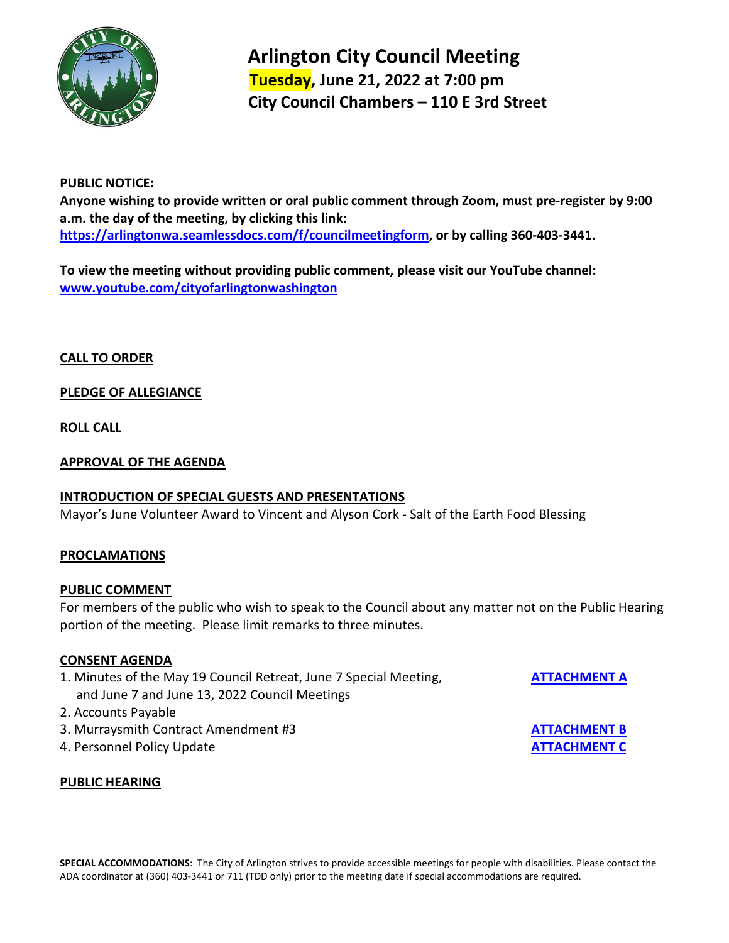

 **Arlington City Council Meeting Tuesday, June 21, 2022 at 7:00 pm City Council Chambers – 110 E 3rd Street** 

## **PUBLIC NOTICE:**

**Anyone wishing to provide written or oral public comment through Zoom, must pre-register by 9:00 a.m. the day of the meeting, by clicking this link: [https://arlingtonwa.seamlessdocs.com/f/councilmeetingform,](https://arlingtonwa.seamlessdocs.com/f/councilmeetingform) or by calling 360-403-3441.**

**To view the meeting without providing public comment, please visit our YouTube channel: [www.youtube.com/cityofarlingtonwashington](http://www.youtube.com/cityofarlingtonwashington)**

**CALL TO ORDER**

# **PLEDGE OF ALLEGIANCE**

**ROLL CALL**

### **APPROVAL OF THE AGENDA**

#### **INTRODUCTION OF SPECIAL GUESTS AND PRESENTATIONS**

Mayor's June Volunteer Award to Vincent and Alyson Cork - Salt of the Earth Food Blessing

# **PROCLAMATIONS**

#### **PUBLIC COMMENT**

For members of the public who wish to speak to the Council about any matter not on the Public Hearing portion of the meeting. Please limit remarks to three minutes.

#### **CONSENT AGENDA**

- 1. Minutes of the May 19 Council Retreat, June 7 Special Meeting, **[ATTACHMENT A](http://arlingtonwa.gov/DocumentCenter/View/7395/Attachment-A)** and June 7 and June 13, 2022 Council Meetings
- 2. Accounts Payable
- 3. Murraysmith Contract Amendment #3 **[ATTACHMENT B](http://arlingtonwa.gov/DocumentCenter/View/7396/Attachment-B)**
- 4. Personnel Policy Update **[ATTACHMENT C](http://arlingtonwa.gov/DocumentCenter/View/7397/Attachment-C)**

# **PUBLIC HEARING**

**SPECIAL ACCOMMODATIONS**: The City of Arlington strives to provide accessible meetings for people with disabilities. Please contact the ADA coordinator at (360) 403-3441 or 711 (TDD only) prior to the meeting date if special accommodations are required.